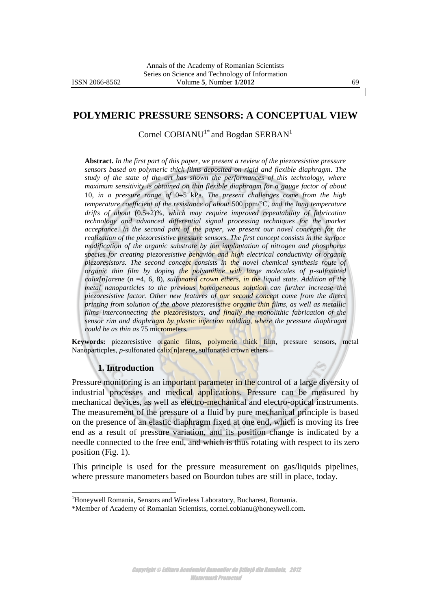## **POLYMERIC PRESSURE SENSORS: A CONCEPTUAL VIEW**

Cornel COBIANU<sup>1\*</sup> and Bogdan SERBAN<sup>1</sup>

**Abstract.** *In the first part of this paper, we present a review of the piezoresistive pressure sensors based on polymeric thick films deposited on rigid and flexible diaphragm. The study of the state of the art has shown the performances of this technology, where maximum sensitivity is obtained on thin flexible diaphragm for a gauge factor of about*  10, in a pressure range of 0÷5 kPa. The present challenges come from the high *temperature coefficient of the resistance of about* 500 ppm/C*, and the long temperature drifts of about*  $(0.5\div 2)\%$ *, which may require improved repeatability of fabrication technology and advanced differential signal processing techniques for the market acceptance. In the second part of the paper, we present our novel concepts for the realization of the piezoresistive pressure sensors. The first concept consists in the surface modification of the organic substrate by ion implantation of nitrogen and phosphorus species for creating piezoresistive behavior and high electrical conductivity of organic piezoresistors. The second concept consists in the novel chemical synthesis route of organic thin film by doping the polyaniline with large molecules of p-sulfonated*   $calix[n]$ arene ( $n = 4, 6, 8$ )*, sulfonated crown ethers, in the liquid state. Addition of the metal nanoparticles to the previous homogeneous solution can further increase the piezoresistive factor. Other new features of our second concept come from the direct printing from solution of the above piezoresistive organic thin films, as well as metallic films interconnecting the piezoresistors, and finally the monolithic fabrication of the sensor rim and diaphragm by plastic injection molding, where the pressure diaphragm could be as thin as* 75 micrometers*.* 

**Keywords:** piezoresistive organic films, polymeric thick film, pressure sensors, metal Nanoparticples, *p*-sulfonated calix[n]arene, sulfonated crown ethers

#### **1. Introduction**

l

Pressure monitoring is an important parameter in the control of a large diversity of industrial processes and medical applications. Pressure can be measured by mechanical devices, as well as electro-mechanical and electro-optical instruments. The measurement of the pressure of a fluid by pure mechanical principle is based on the presence of an elastic diaphragm fixed at one end, which is moving its free end as a result of pressure variation, and its position change is indicated by a needle connected to the free end, and which is thus rotating with respect to its zero position (Fig. 1).

This principle is used for the pressure measurement on gas/liquids pipelines, where pressure manometers based on Bourdon tubes are still in place, today.

Copyright © Editura Academiei Oamenilor de Știință din România, 2012 Watermark Protected

<sup>&</sup>lt;sup>1</sup>Honeywell Romania, Sensors and Wireless Laboratory, Bucharest, Romania.

<sup>\*</sup>Member of Academy of Romanian Scientists, cornel.cobianu@honeywell.com.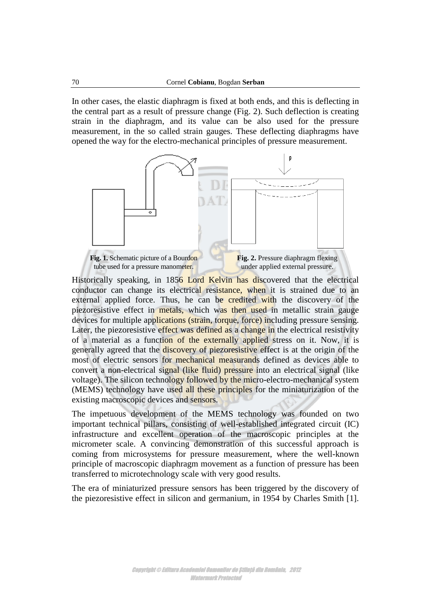In other cases, the elastic diaphragm is fixed at both ends, and this is deflecting in the central part as a result of pressure change (Fig. 2). Such deflection is creating strain in the diaphragm, and its value can be also used for the pressure measurement, in the so called strain gauges. These deflecting diaphragms have opened the way for the electro-mechanical principles of pressure measurement.



Historically speaking, in 1856 Lord Kelvin has discovered that the electrical conductor can change its electrical resistance, when it is strained due to an external applied force. Thus, he can be credited with the discovery of the piezoresistive effect in metals, which was then used in metallic strain gauge devices for multiple applications (strain, torque, force) including pressure sensing. Later, the piezoresistive effect was defined as a change in the electrical resistivity of a material as a function of the externally applied stress on it. Now, it is generally agreed that the discovery of piezoresistive effect is at the origin of the most of electric sensors for mechanical measurands defined as devices able to convert a non-electrical signal (like fluid) pressure into an electrical signal (like voltage). The silicon technology followed by the micro-electro-mechanical system (MEMS) technology have used all these principles for the miniaturization of the existing macroscopic devices and sensors.

The impetuous development of the MEMS technology was founded on two important technical pillars, consisting of well-established integrated circuit (IC) infrastructure and excellent operation of the macroscopic principles at the micrometer scale. A convincing demonstration of this successful approach is coming from microsystems for pressure measurement, where the well-known principle of macroscopic diaphragm movement as a function of pressure has been transferred to microtechnology scale with very good results.

The era of miniaturized pressure sensors has been triggered by the discovery of the piezoresistive effect in silicon and germanium, in 1954 by Charles Smith [1].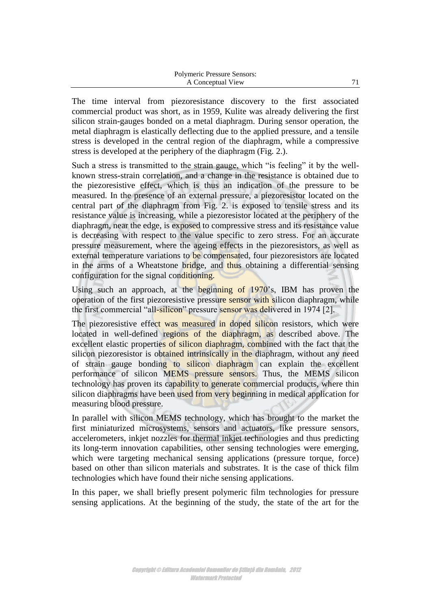The time interval from piezoresistance discovery to the first associated commercial product was short, as in 1959, Kulite was already delivering the first silicon strain-gauges bonded on a metal diaphragm. During sensor operation, the metal diaphragm is elastically deflecting due to the applied pressure, and a tensile stress is developed in the central region of the diaphragm, while a compressive stress is developed at the periphery of the diaphragm (Fig. 2.).

Such a stress is transmitted to the strain gauge, which "is feeling" it by the wellknown stress-strain correlation, and a change in the resistance is obtained due to the piezoresistive effect, which is thus an indication of the pressure to be measured. In the presence of an external pressure, a piezoresistor located on the central part of the diaphragm from Fig. 2. is exposed to tensile stress and its resistance value is increasing, while a piezoresistor located at the periphery of the diaphragm, near the edge, is exposed to compressive stress and its resistance value is decreasing with respect to the value specific to zero stress. For an accurate pressure measurement, where the ageing effects in the piezoresistors, as well as external temperature variations to be compensated, four piezoresistors are located in the arms of a Wheatstone bridge, and thus obtaining a differential sensing configuration for the signal conditioning.

Using such an approach, at the beginning of 1970's, IBM has proven the operation of the first piezoresistive pressure sensor with silicon diaphragm, while the first commercial "all-silicon" pressure sensor was delivered in 1974 [2].

The piezoresistive effect was measured in doped silicon resistors, which were located in well-defined regions of the diaphragm, as described above. The excellent elastic properties of silicon diaphragm, combined with the fact that the silicon piezoresistor is obtained intrinsically in the diaphragm, without any need of strain gauge bonding to silicon diaphragm can explain the excellent performance of silicon MEMS pressure sensors. Thus, the MEMS silicon technology has proven its capability to generate commercial products, where thin silicon diaphragms have been used from very beginning in medical application for measuring blood pressure.

In parallel with silicon MEMS technology, which has brought to the market the first miniaturized microsystems, sensors and actuators, like pressure sensors, accelerometers, inkjet nozzles for thermal inkjet technologies and thus predicting its long-term innovation capabilities, other sensing technologies were emerging, which were targeting mechanical sensing applications (pressure torque, force) based on other than silicon materials and substrates. It is the case of thick film technologies which have found their niche sensing applications.

In this paper, we shall briefly present polymeric film technologies for pressure sensing applications. At the beginning of the study, the state of the art for the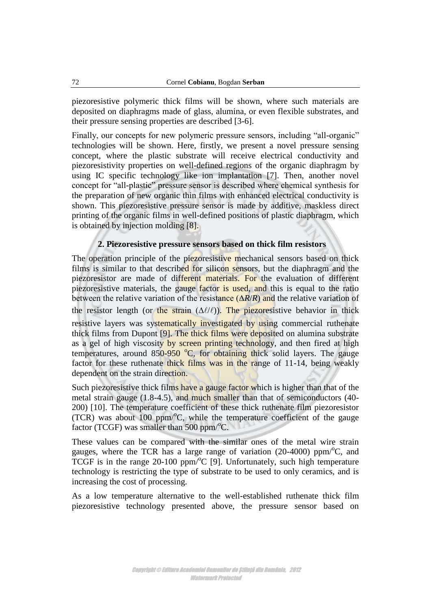piezoresistive polymeric thick films will be shown, where such materials are deposited on diaphragms made of glass, alumina, or even flexible substrates, and their pressure sensing properties are described [3-6].

Finally, our concepts for new polymeric pressure sensors, including "all-organic" technologies will be shown. Here, firstly, we present a novel pressure sensing concept, where the plastic substrate will receive electrical conductivity and piezoresistivity properties on well-defined regions of the organic diaphragm by using IC specific technology like ion implantation [7]. Then, another novel concept for "all-plastic" pressure sensor is described where chemical synthesis for the preparation of new organic thin films with enhanced electrical conductivity is shown. This piezoresistive pressure sensor is made by additive, maskless direct printing of the organic films in well-defined positions of plastic diaphragm, which is obtained by injection molding [8].

# **2. Piezoresistive pressure sensors based on thick film resistors**

The operation principle of the piezoresistive mechanical sensors based on thick films is similar to that described for silicon sensors, but the diaphragm and the piezoresistor are made of different materials. For the evaluation of different piezoresistive materials, the gauge factor is used, and this is equal to the ratio between the relative variation of the resistance (∆*R*/*R*) and the relative variation of the resistor length (or the strain  $(\Delta \ell/\ell)$ ). The piezoresistive behavior in thick resistive layers was systematically investigated by using commercial ruthenate thick films from Dupont [9]. The thick films were deposited on alumina substrate as a gel of high viscosity by screen printing technology, and then fired at high temperatures, around  $850-950$  °C, for obtaining thick solid layers. The gauge factor for these ruthenate thick films was in the range of 11-14, being weakly dependent on the strain direction.

Such piezoresistive thick films have a gauge factor which is higher than that of the metal strain gauge (1.8-4.5), and much smaller than that of semiconductors (40-200) [10]. The temperature coefficient of these thick ruthenate film piezoresistor (TCR) was about 100 ppm/ $\rm ^{o}C$ , while the temperature coefficient of the gauge factor (TCGF) was smaller than 500 ppm/ $\mathrm{C}$ .

These values can be compared with the similar ones of the metal wire strain gauges, where the TCR has a large range of variation  $(20-4000)$  ppm<sup>o</sup>C, and TCGF is in the range  $20-100$  ppm/ $\degree$ C [9]. Unfortunately, such high temperature technology is restricting the type of substrate to be used to only ceramics, and is increasing the cost of processing.

As a low temperature alternative to the well-established ruthenate thick film piezoresistive technology presented above, the pressure sensor based on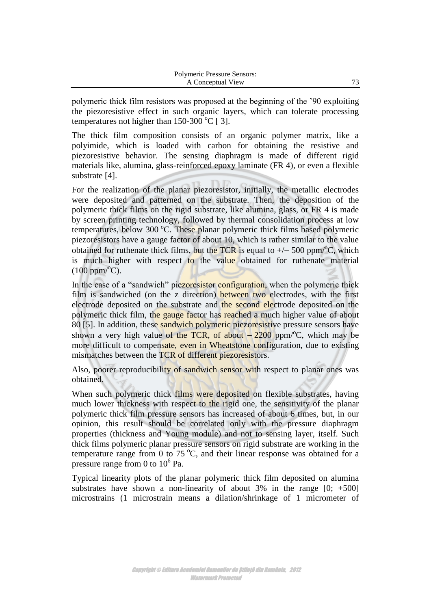polymeric thick film resistors was proposed at the beginning of the "90 exploiting the piezoresistive effect in such organic layers, which can tolerate processing temperatures not higher than  $150-300$  °C [ 3].

The thick film composition consists of an organic polymer matrix, like a polyimide, which is loaded with carbon for obtaining the resistive and piezoresistive behavior. The sensing diaphragm is made of different rigid materials like, alumina, glass-reinforced epoxy laminate (FR 4), or even a flexible substrate [4].

For the realization of the planar piezoresistor, initially, the metallic electrodes were deposited and patterned on the substrate. Then, the deposition of the polymeric thick films on the rigid substrate, like alumina, glass, or FR 4 is made by screen printing technology, followed by thermal consolidation process at low temperatures, below  $300\degree$ C. These planar polymeric thick films based polymeric piezoresistors have a gauge factor of about 10, which is rather similar to the value obtained for ruthenate thick films, but the TCR is equal to  $+/- 500$  ppm<sup>o</sup>C, which is much higher with respect to the value obtained for ruthenate material  $(100 \text{ ppm} / {}^{\circ}C)$ .

In the case of a "sandwich" piezoresistor configuration, when the polymeric thick film is sandwiched (on the z direction) between two electrodes, with the first electrode deposited on the substrate and the second electrode deposited on the polymeric thick film, the gauge factor has reached a much higher value of about 80 [5]. In addition, these sandwich polymeric piezoresistive pressure sensors have shown a very high value of the TCR, of about  $-2200$  ppm<sup>o</sup>C, which may be more difficult to compensate, even in Wheatstone configuration, due to existing mismatches between the TCR of different piezoresistors.

Also, poorer reproducibility of sandwich sensor with respect to planar ones was obtained.

When such polymeric thick films were deposited on flexible substrates, having much lower thickness with respect to the rigid one, the sensitivity of the planar polymeric thick film pressure sensors has increased of about 6 times, but, in our opinion, this result should be correlated only with the pressure diaphragm properties (thickness and Young module) and not to sensing layer, itself. Such thick films polymeric planar pressure sensors on rigid substrate are working in the temperature range from 0 to 75  $\degree$ C, and their linear response was obtained for a pressure range from 0 to  $10^6$  Pa.

Typical linearity plots of the planar polymeric thick film deposited on alumina substrates have shown a non-linearity of about 3% in the range  $[0; +500]$ microstrains (1 microstrain means a dilation/shrinkage of 1 micrometer of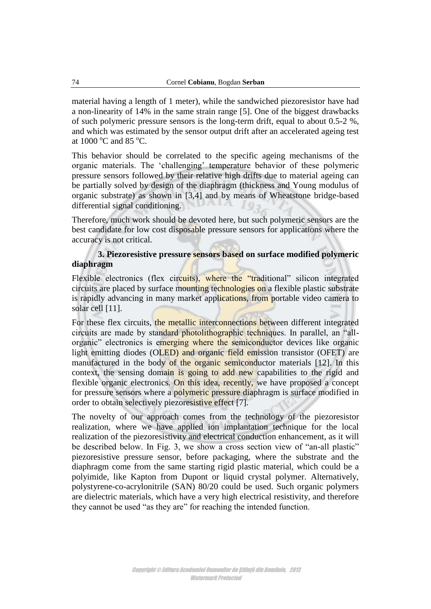material having a length of 1 meter), while the sandwiched piezoresistor have had a non-linearity of 14% in the same strain range [5]. One of the biggest drawbacks of such polymeric pressure sensors is the long-term drift, equal to about 0.5-2 %, and which was estimated by the sensor output drift after an accelerated ageing test at  $1000\,^{\circ}$ C and  $85\,^{\circ}$ C.

This behavior should be correlated to the specific ageing mechanisms of the organic materials. The "challenging" temperature behavior of these polymeric pressure sensors followed by their relative high drifts due to material ageing can be partially solved by design of the diaphragm (thickness and Young modulus of organic substrate) as shown in [3,4] and by means of Wheatstone bridge-based differential signal conditioning.

Therefore, much work should be devoted here, but such polymeric sensors are the best candidate for low cost disposable pressure sensors for applications where the accuracy is not critical.

## **3. Piezoresistive pressure sensors based on surface modified polymeric diaphragm**

Flexible electronics (flex circuits), where the "traditional" silicon integrated circuits are placed by surface mounting technologies on a flexible plastic substrate is rapidly advancing in many market applications, from portable video camera to solar cell [11].

For these flex circuits, the metallic interconnections between different integrated circuits are made by standard photolithographic techniques. In parallel, an "allorganic" electronics is emerging where the semiconductor devices like organic light emitting diodes (OLED) and organic field emission transistor (OFET) are manufactured in the body of the organic semiconductor materials [12]. In this context, the sensing domain is going to add new capabilities to the rigid and flexible organic electronics. On this idea, recently, we have proposed a concept for pressure sensors where a polymeric pressure diaphragm is surface modified in order to obtain selectively piezoresistive effect [7].

The novelty of our approach comes from the technology of the piezoresistor realization, where we have applied ion implantation technique for the local realization of the piezoresistivity and electrical conduction enhancement, as it will be described below. In Fig. 3, we show a cross section view of "an-all plastic" piezoresistive pressure sensor, before packaging, where the substrate and the diaphragm come from the same starting rigid plastic material, which could be a polyimide, like Kapton from Dupont or liquid crystal polymer. Alternatively, polystyrene-co-acrylonitrile (SAN) 80/20 could be used. Such organic polymers are dielectric materials, which have a very high electrical resistivity, and therefore they cannot be used "as they are" for reaching the intended function.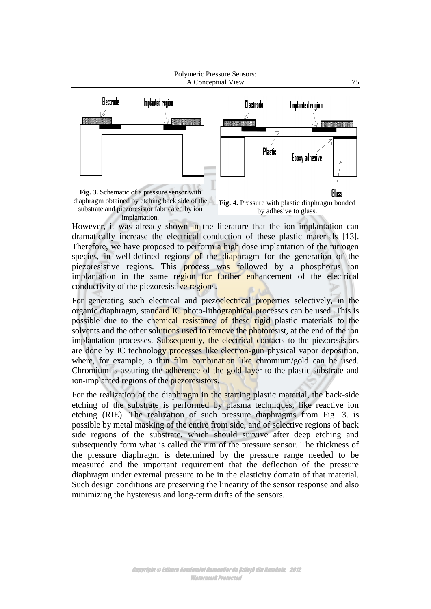

substrate and piezoresistor fabricated by ion implantation.

diaphragm obtained by etching back side of the **Fig. 4.** Pressure with plastic diaphragm bonded by adhesive to glass.

However, it was already shown in the literature that the ion implantation can dramatically increase the electrical conduction of these plastic materials [13]. Therefore, we have proposed to perform a high dose implantation of the nitrogen species, in well-defined regions of the diaphragm for the generation of the piezoresistive regions. This process was followed by a phosphorus ion implantation in the same region for further enhancement of the electrical conductivity of the piezoresistive regions.

For generating such electrical and piezoelectrical properties selectively, in the organic diaphragm, standard IC photo-lithographical processes can be used. This is possible due to the chemical resistance of these rigid plastic materials to the solvents and the other solutions used to remove the photoresist, at the end of the ion implantation processes. Subsequently, the electrical contacts to the piezoresistors are done by IC technology processes like electron-gun physical vapor deposition, where, for example, a thin film combination like chromium/gold can be used. Chromium is assuring the adherence of the gold layer to the plastic substrate and ion-implanted regions of the piezoresistors.

For the realization of the diaphragm in the starting plastic material, the back-side etching of the substrate is performed by plasma techniques, like reactive ion etching (RIE). The realization of such pressure diaphragms from Fig. 3. is possible by metal masking of the entire front side, and of selective regions of back side regions of the substrate, which should survive after deep etching and subsequently form what is called the rim of the pressure sensor. The thickness of the pressure diaphragm is determined by the pressure range needed to be measured and the important requirement that the deflection of the pressure diaphragm under external pressure to be in the elasticity domain of that material. Such design conditions are preserving the linearity of the sensor response and also minimizing the hysteresis and long-term drifts of the sensors.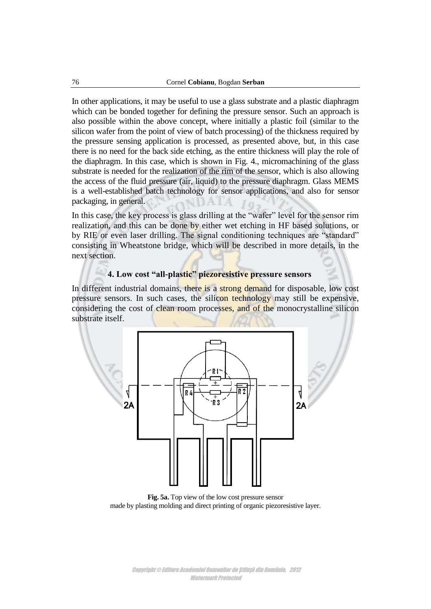In other applications, it may be useful to use a glass substrate and a plastic diaphragm which can be bonded together for defining the pressure sensor. Such an approach is also possible within the above concept, where initially a plastic foil (similar to the silicon wafer from the point of view of batch processing) of the thickness required by the pressure sensing application is processed, as presented above, but, in this case there is no need for the back side etching, as the entire thickness will play the role of the diaphragm. In this case, which is shown in Fig. 4., micromachining of the glass substrate is needed for the realization of the rim of the sensor, which is also allowing the access of the fluid pressure (air, liquid) to the pressure diaphragm. Glass MEMS is a well-established batch technology for sensor applications, and also for sensor packaging, in general.

In this case, the key process is glass drilling at the "wafer" level for the sensor rim realization, and this can be done by either wet etching in HF based solutions, or by RIE or even laser drilling. The signal conditioning techniques are "standard" consisting in Wheatstone bridge, which will be described in more details, in the next section.

# **4. Low cost "all-plastic" piezoresistive pressure sensors**

In different industrial domains, there is a strong demand for disposable, low cost pressure sensors. In such cases, the silicon technology may still be expensive, considering the cost of clean room processes, and of the monocrystalline silicon substrate itself.



**Fig. 5a.** Top view of the low cost pressure sensor made by plasting molding and direct printing of organic piezoresistive layer.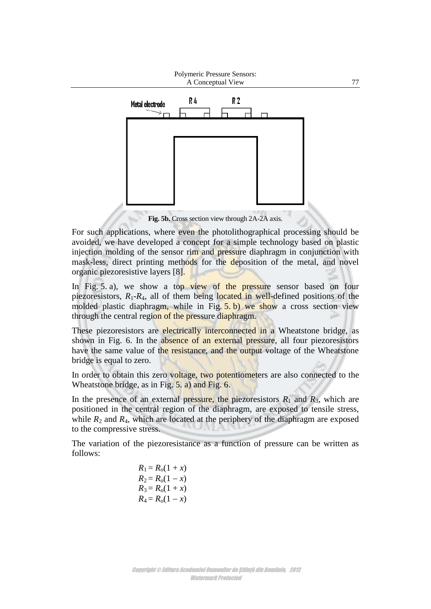

**Fig. 5b.** Cross section view through 2A-2A axis.

For such applications, where even the photolithographical processing should be avoided, we have developed a concept for a simple technology based on plastic injection molding of the sensor rim and pressure diaphragm in conjunction with mask-less, direct printing methods for the deposition of the metal, and novel organic piezoresistive layers [8].

In Fig. 5. a), we show a top view of the pressure sensor based on four piezoresistors,  $R_1$ - $R_4$ , all of them being located in well-defined positions of the molded plastic diaphragm, while in Fig.  $5. b$ ) we show a cross section view through the central region of the pressure diaphragm.

These piezoresistors are electrically interconnected in a Wheatstone bridge, as shown in Fig. 6. In the absence of an external pressure, all four piezoresistors have the same value of the resistance, and the output voltage of the Wheatstone bridge is equal to zero.

In order to obtain this zero voltage, two potentiometers are also connected to the Wheatstone bridge, as in Fig. 5. a) and Fig. 6.

In the presence of an external pressure, the piezoresistors  $R_1$  and  $R_3$ , which are positioned in the central region of the diaphragm, are exposed to tensile stress, while  $R_2$  and  $R_4$ , which are located at the periphery of the diaphragm are exposed to the compressive stress.

The variation of the piezoresistance as a function of pressure can be written as follows:

> $R_1 = R_0(1 + x)$  $R_2 = R_0(1 - x)$  $R_3 = R_0(1 + x)$  $R_4 = R_0(1 - x)$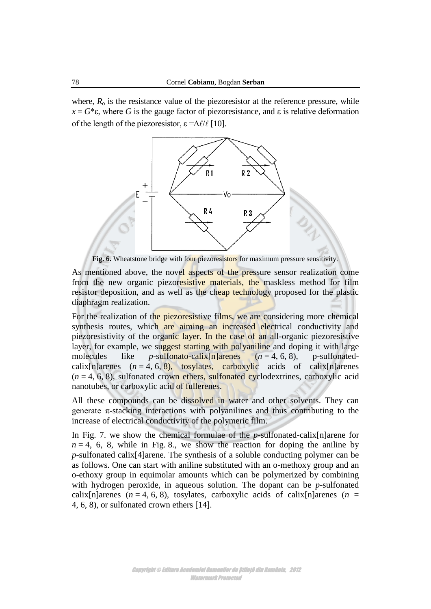where,  $R_0$  is the resistance value of the piezoresistor at the reference pressure, while  $x = G^* \varepsilon$ , where *G* is the gauge factor of piezoresistance, and  $\varepsilon$  is relative deformation of the length of the piezoresistor,  $\varepsilon = \Delta \ell / \ell$  [10].



**Fig. 6.** Wheatstone bridge with four piezoresistors for maximum pressure sensitivity.

As mentioned above, the novel aspects of the pressure sensor realization come from the new organic piezoresistive materials, the maskless method for film resistor deposition, and as well as the cheap technology proposed for the plastic diaphragm realization.

For the realization of the piezoresistive films, we are considering more chemical synthesis routes, which are aiming an increased electrical conductivity and piezoresistivity of the organic layer. In the case of an all-organic piezoresistive layer, for example, we suggest starting with polyaniline and doping it with large molecules like *p*-sulfonato-calix $[n]$ arenes  $(n = 4, 6, 8)$ , p-sulfonatedcalix[n]arenes  $(n = 4, 6, 8)$ , tosylates, carboxylic acids of calix[n]arenes  $(n = 4, 6, 8)$ , sulfonated crown ethers, sulfonated cyclodextrines, carboxylic acid nanotubes, or carboxylic acid of fullerenes.

All these compounds can be dissolved in water and other solvents. They can generate  $\pi$ -stacking interactions with polyanilines and thus contributing to the increase of electrical conductivity of the polymeric film.

In Fig. 7. we show the chemical formulae of the *p*-sulfonated-calix[n]arene for  $n = 4$ , 6, 8, while in Fig. 8., we show the reaction for doping the aniline by *p*-sulfonated calix[4]arene. The synthesis of a soluble conducting polymer can be as follows. One can start with aniline substituted with an o-methoxy group and an o-ethoxy group in equimolar amounts which can be polymerized by combining with hydrogen peroxide, in aqueous solution. The dopant can be *p*-sulfonated calix[n]arenes ( $n = 4, 6, 8$ ), tosylates, carboxylic acids of calix[n]arenes ( $n =$ 4, 6, 8), or sulfonated crown ethers [14].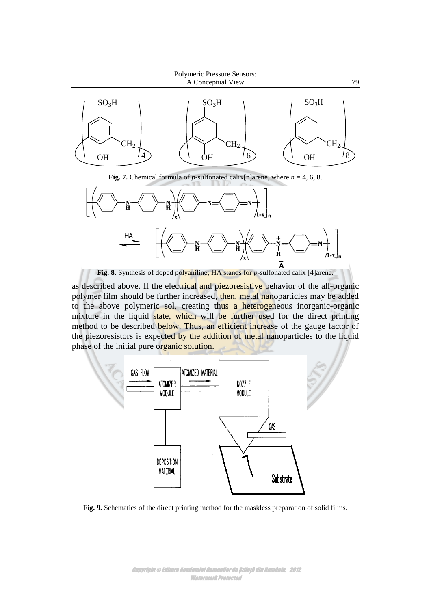



**Fig. 8.** Synthesis of doped polyaniline; HA stands for *p*-sulfonated calix [4]arene.

as described above. If the electrical and piezoresistive behavior of the all-organic polymer film should be further increased, then, metal nanoparticles may be added to the above polymeric sol, creating thus a heterogeneous inorganic-organic mixture in the liquid state, which will be further used for the direct printing method to be described below. Thus, an efficient increase of the gauge factor of the piezoresistors is expected by the addition of metal nanoparticles to the liquid phase of the initial pure organic solution.



**Fig. 9.** Schematics of the direct printing method for the maskless preparation of solid films.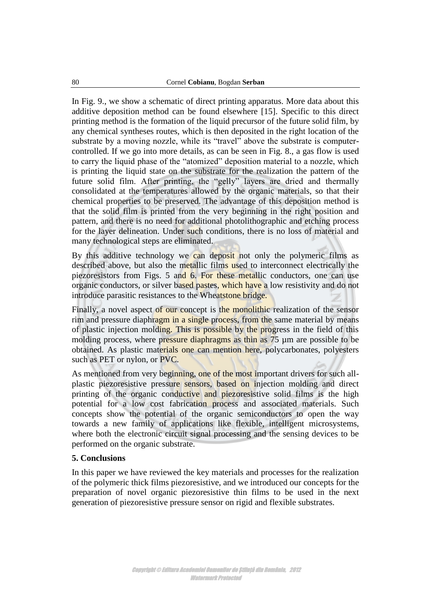In Fig. 9., we show a schematic of direct printing apparatus. More data about this additive deposition method can be found elsewhere [15]. Specific to this direct printing method is the formation of the liquid precursor of the future solid film, by any chemical syntheses routes, which is then deposited in the right location of the substrate by a moving nozzle, while its "travel" above the substrate is computercontrolled. If we go into more details, as can be seen in Fig. 8., a gas flow is used to carry the liquid phase of the "atomized" deposition material to a nozzle, which is printing the liquid state on the substrate for the realization the pattern of the future solid film. After printing, the "gelly" layers are dried and thermally consolidated at the temperatures allowed by the organic materials, so that their chemical properties to be preserved. The advantage of this deposition method is that the solid film is printed from the very beginning in the right position and pattern, and there is no need for additional photolithographic and etching process for the layer delineation. Under such conditions, there is no loss of material and many technological steps are eliminated.

By this additive technology we can deposit not only the polymeric films as described above, but also the metallic films used to interconnect electrically the piezoresistors from Figs. 5 and 6. For these metallic conductors, one can use organic conductors, or silver based pastes, which have a low resistivity and do not introduce parasitic resistances to the Wheatstone bridge.

Finally, a novel aspect of our concept is the monolithic realization of the sensor rim and pressure diaphragm in a single process, from the same material by means of plastic injection molding. This is possible by the progress in the field of this molding process, where pressure diaphragms as thin as 75 µm are possible to be obtained. As plastic materials one can mention here, polycarbonates, polyesters such as PET or nylon, or PVC.

As mentioned from very beginning, one of the most important drivers for such allplastic piezoresistive pressure sensors, based on injection molding and direct printing of the organic conductive and piezoresistive solid films is the high potential for a low cost fabrication process and associated materials. Such concepts show the potential of the organic semiconductors to open the way towards a new family of applications like flexible, intelligent microsystems, where both the electronic circuit signal processing and the sensing devices to be performed on the organic substrate.

### **5. Conclusions**

In this paper we have reviewed the key materials and processes for the realization of the polymeric thick films piezoresistive, and we introduced our concepts for the preparation of novel organic piezoresistive thin films to be used in the next generation of piezoresistive pressure sensor on rigid and flexible substrates.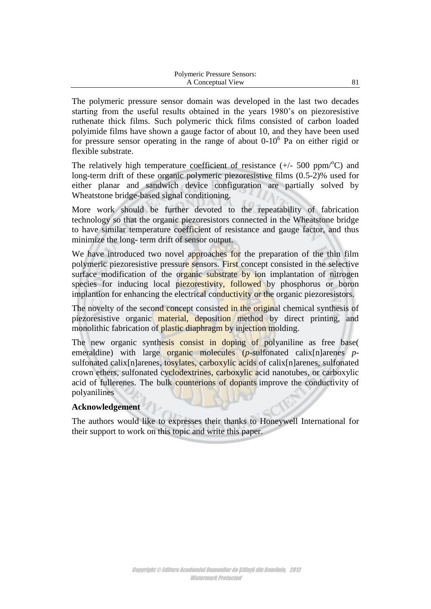| Polymeric Pressure Sensors: |  |
|-----------------------------|--|
| A Conceptual View           |  |

The polymeric pressure sensor domain was developed in the last two decades starting from the useful results obtained in the years 1980"s on piezoresistive ruthenate thick films. Such polymeric thick films consisted of carbon loaded polyimide films have shown a gauge factor of about 10, and they have been used for pressure sensor operating in the range of about  $0-10^6$  Pa on either rigid or flexible substrate.

The relatively high temperature coefficient of resistance  $(+/- 500 \text{ ppm}^{\circ}\text{C})$  and long-term drift of these organic polymeric piezoresistive films (0.5-2)% used for either planar and sandwich device configuration are partially solved by Wheatstone bridge-based signal conditioning.

More work should be further devoted to the repeatability of fabrication technology so that the organic piezoresistors connected in the Wheatstone bridge to have similar temperature coefficient of resistance and gauge factor, and thus minimize the long- term drift of sensor output.

We have introduced two novel approaches for the preparation of the thin film polymeric piezoresistive pressure sensors. First concept consisted in the selective surface modification of the organic substrate by ion implantation of nitrogen species for inducing local piezorestivity, followed by phosphorus or boron implantion for enhancing the electrical conductivity or the organic piezoresistors.

The novelty of the second concept consisted in the original chemical synthesis of piezoresistive organic material, deposition method by direct printing, and monolithic fabrication of plastic diaphragm by injection molding.

The new organic synthesis consist in doping of polyaniline as free base( emeraldine) with large organic molecules (*p*-sulfonated calix[n]arenes *p*sulfonated calix[n]arenes, tosylates, carboxylic acids of calix[n]arenes, sulfonated crown ethers, sulfonated cyclodextrines, carboxylic acid nanotubes, or carboxylic acid of fullerenes. The bulk counterions of dopants improve the conductivity of polyanilines

## **Acknowledgement**

The authors would like to expresses their thanks to Honeywell International for their support to work on this topic and write this paper.